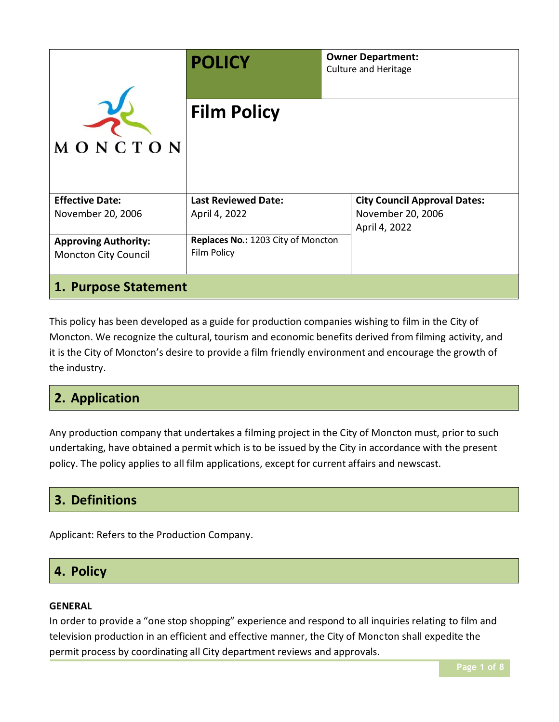|                                                            | <b>POLICY</b>                                     | <b>Owner Department:</b><br><b>Culture and Heritage</b>                   |  |  |  |  |
|------------------------------------------------------------|---------------------------------------------------|---------------------------------------------------------------------------|--|--|--|--|
| MONCTON                                                    | <b>Film Policy</b>                                |                                                                           |  |  |  |  |
| <b>Effective Date:</b><br>November 20, 2006                | <b>Last Reviewed Date:</b><br>April 4, 2022       | <b>City Council Approval Dates:</b><br>November 20, 2006<br>April 4, 2022 |  |  |  |  |
| <b>Approving Authority:</b><br><b>Moncton City Council</b> | Replaces No.: 1203 City of Moncton<br>Film Policy |                                                                           |  |  |  |  |
| 1. Purpose Statement                                       |                                                   |                                                                           |  |  |  |  |

This policy has been developed as a guide for production companies wishing to film in the City of Moncton. We recognize the cultural, tourism and economic benefits derived from filming activity, and it is the City of Moncton's desire to provide a film friendly environment and encourage the growth of the industry.

## **2. Application**

Any production company that undertakes a filming project in the City of Moncton must, prior to such undertaking, have obtained a permit which is to be issued by the City in accordance with the present policy. The policy applies to all film applications, except for current affairs and newscast.

# **3. Definitions**

Applicant: Refers to the Production Company.

## **4. Policy**

## **GENERAL**

In order to provide a "one stop shopping" experience and respond to all inquiries relating to film and television production in an efficient and effective manner, the City of Moncton shall expedite the permit process by coordinating all City department reviews and approvals.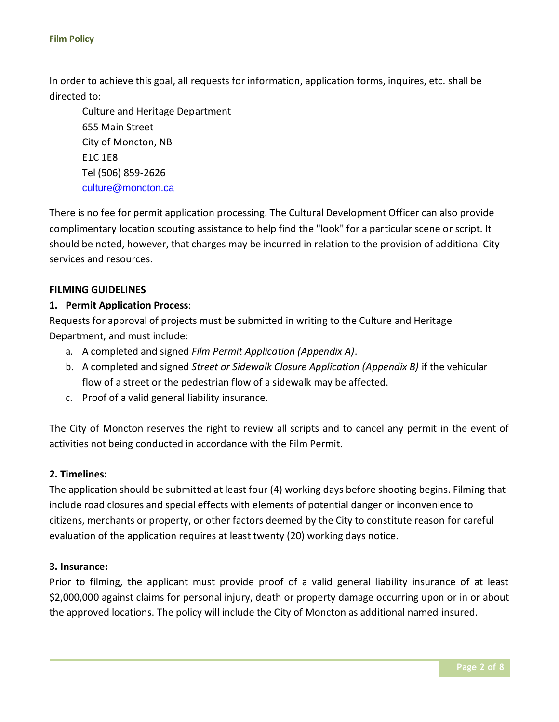In order to achieve this goal, all requests for information, application forms, inquires, etc. shall be directed to:

Culture and Heritage Department 655 Main Street City of Moncton, NB E1C 1E8 Tel (506) 859-2626 [culture@moncton.ca](mailto:roxanne.richard@moncton.ca)

There is no fee for permit application processing. The Cultural Development Officer can also provide complimentary location scouting assistance to help find the "look" for a particular scene or script. It should be noted, however, that charges may be incurred in relation to the provision of additional City services and resources.

#### **FILMING GUIDELINES**

#### **1. Permit Application Process**:

Requests for approval of projects must be submitted in writing to the Culture and Heritage Department, and must include:

- a. A completed and signed *Film Permit Application (Appendix A)*.
- b. A completed and signed *Street or Sidewalk Closure Application (Appendix B)* if the vehicular flow of a street or the pedestrian flow of a sidewalk may be affected.
- c. Proof of a valid general liability insurance.

The City of Moncton reserves the right to review all scripts and to cancel any permit in the event of activities not being conducted in accordance with the Film Permit.

#### **2. Timelines:**

The application should be submitted at least four (4) working days before shooting begins. Filming that include road closures and special effects with elements of potential danger or inconvenience to citizens, merchants or property, or other factors deemed by the City to constitute reason for careful evaluation of the application requires at least twenty (20) working days notice.

#### **3. Insurance:**

Prior to filming, the applicant must provide proof of a valid general liability insurance of at least \$2,000,000 against claims for personal injury, death or property damage occurring upon or in or about the approved locations. The policy will include the City of Moncton as additional named insured.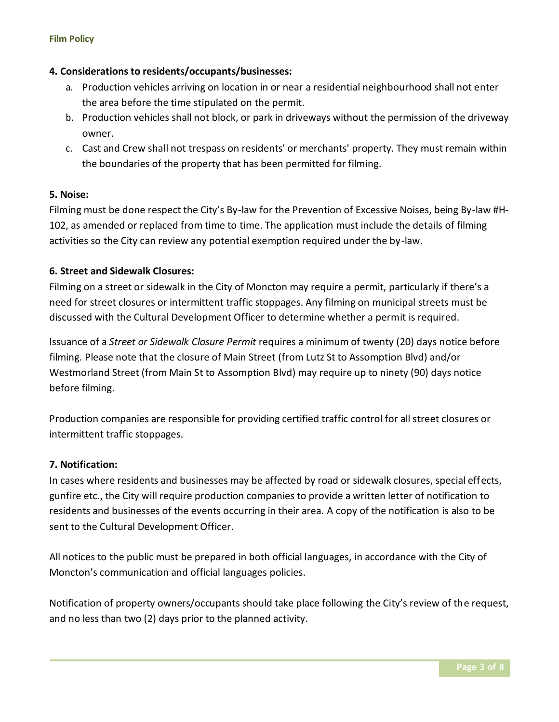## **4. Considerations to residents/occupants/businesses:**

- a. Production vehicles arriving on location in or near a residential neighbourhood shall not enter the area before the time stipulated on the permit.
- b. Production vehicles shall not block, or park in driveways without the permission of the driveway owner.
- c. Cast and Crew shall not trespass on residents' or merchants' property. They must remain within the boundaries of the property that has been permitted for filming.

#### **5. Noise:**

Filming must be done respect the City's By-law for the Prevention of Excessive Noises, being By-law #H-102, as amended or replaced from time to time. The application must include the details of filming activities so the City can review any potential exemption required under the by-law.

## **6. Street and Sidewalk Closures:**

Filming on a street or sidewalk in the City of Moncton may require a permit, particularly if there's a need for street closures or intermittent traffic stoppages. Any filming on municipal streets must be discussed with the Cultural Development Officer to determine whether a permit is required.

Issuance of a *Street or Sidewalk Closure Permit* requires a minimum of twenty (20) days notice before filming. Please note that the closure of Main Street (from Lutz St to Assomption Blvd) and/or Westmorland Street (from Main St to Assomption Blvd) may require up to ninety (90) days notice before filming.

Production companies are responsible for providing certified traffic control for all street closures or intermittent traffic stoppages.

## **7. Notification:**

In cases where residents and businesses may be affected by road or sidewalk closures, special effects, gunfire etc., the City will require production companies to provide a written letter of notification to residents and businesses of the events occurring in their area. A copy of the notification is also to be sent to the Cultural Development Officer.

All notices to the public must be prepared in both official languages, in accordance with the City of Moncton's communication and official languages policies.

Notification of property owners/occupants should take place following the City's review of the request, and no less than two (2) days prior to the planned activity.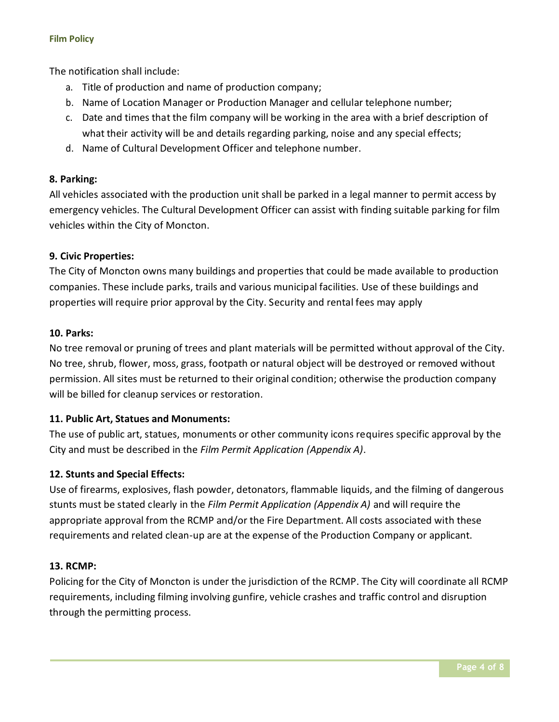#### **Film Policy**

The notification shall include:

- a. Title of production and name of production company;
- b. Name of Location Manager or Production Manager and cellular telephone number;
- c. Date and times that the film company will be working in the area with a brief description of what their activity will be and details regarding parking, noise and any special effects;
- d. Name of Cultural Development Officer and telephone number.

## **8. Parking:**

All vehicles associated with the production unit shall be parked in a legal manner to permit access by emergency vehicles. The Cultural Development Officer can assist with finding suitable parking for film vehicles within the City of Moncton.

## **9. Civic Properties:**

The City of Moncton owns many buildings and properties that could be made available to production companies. These include parks, trails and various municipal facilities. Use of these buildings and properties will require prior approval by the City. Security and rental fees may apply

## **10. Parks:**

No tree removal or pruning of trees and plant materials will be permitted without approval of the City. No tree, shrub, flower, moss, grass, footpath or natural object will be destroyed or removed without permission. All sites must be returned to their original condition; otherwise the production company will be billed for cleanup services or restoration.

## **11. Public Art, Statues and Monuments:**

The use of public art, statues, monuments or other community icons requires specific approval by the City and must be described in the *Film Permit Application (Appendix A)*.

## **12. Stunts and Special Effects:**

Use of firearms, explosives, flash powder, detonators, flammable liquids, and the filming of dangerous stunts must be stated clearly in the *Film Permit Application (Appendix A)* and will require the appropriate approval from the RCMP and/or the Fire Department. All costs associated with these requirements and related clean-up are at the expense of the Production Company or applicant.

## **13. RCMP:**

Policing for the City of Moncton is under the jurisdiction of the RCMP. The City will coordinate all RCMP requirements, including filming involving gunfire, vehicle crashes and traffic control and disruption through the permitting process.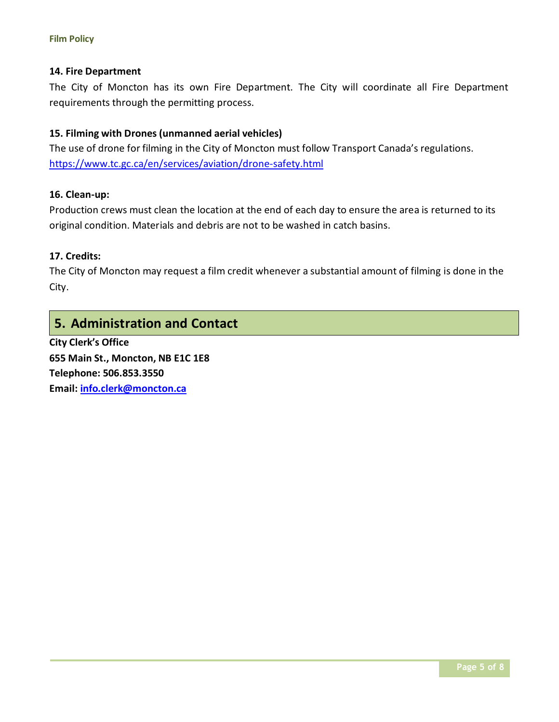#### **14. Fire Department**

The City of Moncton has its own Fire Department. The City will coordinate all Fire Department requirements through the permitting process.

## **15. Filming with Drones (unmanned aerial vehicles)**

The use of drone for filming in the City of Moncton must follow Transport Canada's regulations. <https://www.tc.gc.ca/en/services/aviation/drone-safety.html>

#### **16. Clean-up:**

Production crews must clean the location at the end of each day to ensure the area is returned to its original condition. Materials and debris are not to be washed in catch basins.

## **17. Credits:**

The City of Moncton may request a film credit whenever a substantial amount of filming is done in the City.

## **5. Administration and Contact**

**City Clerk's Office 655 Main St., Moncton, NB E1C 1E8 Telephone: 506.853.3550 Email[: info.clerk@moncton.ca](mailto:info.clerk@moncton.ca)**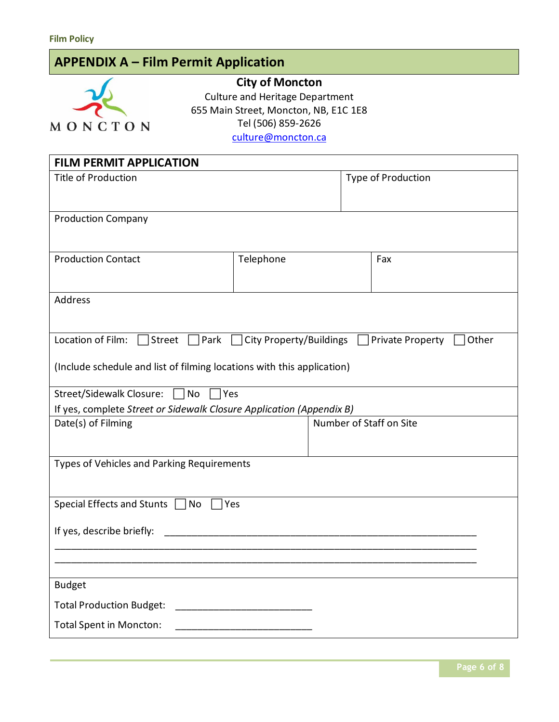# **APPENDIX A – Film Permit Application**



**City of Moncton** Culture and Heritage Department 655 Main Street, Moncton, NB, E1C 1E8 Tel (506) 859-2626

[culture@moncton.ca](mailto:culture@moncton.ca)

| <b>FILM PERMIT APPLICATION</b>                                                                     |           |  |                         |  |  |  |  |  |
|----------------------------------------------------------------------------------------------------|-----------|--|-------------------------|--|--|--|--|--|
| <b>Title of Production</b>                                                                         |           |  | Type of Production      |  |  |  |  |  |
| <b>Production Company</b>                                                                          |           |  |                         |  |  |  |  |  |
| <b>Production Contact</b>                                                                          | Telephone |  | Fax                     |  |  |  |  |  |
| Address                                                                                            |           |  |                         |  |  |  |  |  |
| Location of Film:<br>Park<br>City Property/Buildings<br>Street<br><b>Private Property</b><br>Other |           |  |                         |  |  |  |  |  |
| (Include schedule and list of filming locations with this application)                             |           |  |                         |  |  |  |  |  |
| Street/Sidewalk Closure: No<br>$ $   Yes                                                           |           |  |                         |  |  |  |  |  |
| If yes, complete Street or Sidewalk Closure Application (Appendix B)                               |           |  |                         |  |  |  |  |  |
| Date(s) of Filming                                                                                 |           |  | Number of Staff on Site |  |  |  |  |  |
| Types of Vehicles and Parking Requirements                                                         |           |  |                         |  |  |  |  |  |
| <b>Special Effects and Stunts</b><br>Yes<br>No                                                     |           |  |                         |  |  |  |  |  |
| If yes, describe briefly:                                                                          |           |  |                         |  |  |  |  |  |
|                                                                                                    |           |  |                         |  |  |  |  |  |
| <b>Budget</b>                                                                                      |           |  |                         |  |  |  |  |  |
| <b>Total Production Budget:</b>                                                                    |           |  |                         |  |  |  |  |  |
| <b>Total Spent in Moncton:</b>                                                                     |           |  |                         |  |  |  |  |  |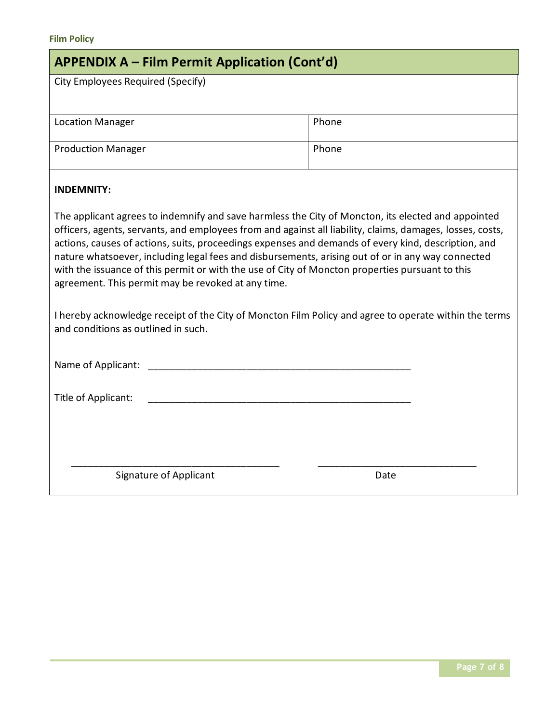| <b>APPENDIX A – Film Permit Application (Cont'd)</b>                                                                                                                                                                                                                                                                                                                                                                                                                                                                                                                                                                                                                                                                                 |       |  |  |  |  |  |
|--------------------------------------------------------------------------------------------------------------------------------------------------------------------------------------------------------------------------------------------------------------------------------------------------------------------------------------------------------------------------------------------------------------------------------------------------------------------------------------------------------------------------------------------------------------------------------------------------------------------------------------------------------------------------------------------------------------------------------------|-------|--|--|--|--|--|
| City Employees Required (Specify)                                                                                                                                                                                                                                                                                                                                                                                                                                                                                                                                                                                                                                                                                                    |       |  |  |  |  |  |
|                                                                                                                                                                                                                                                                                                                                                                                                                                                                                                                                                                                                                                                                                                                                      |       |  |  |  |  |  |
| <b>Location Manager</b>                                                                                                                                                                                                                                                                                                                                                                                                                                                                                                                                                                                                                                                                                                              | Phone |  |  |  |  |  |
| <b>Production Manager</b>                                                                                                                                                                                                                                                                                                                                                                                                                                                                                                                                                                                                                                                                                                            | Phone |  |  |  |  |  |
| <b>INDEMNITY:</b>                                                                                                                                                                                                                                                                                                                                                                                                                                                                                                                                                                                                                                                                                                                    |       |  |  |  |  |  |
| The applicant agrees to indemnify and save harmless the City of Moncton, its elected and appointed<br>officers, agents, servants, and employees from and against all liability, claims, damages, losses, costs,<br>actions, causes of actions, suits, proceedings expenses and demands of every kind, description, and<br>nature whatsoever, including legal fees and disbursements, arising out of or in any way connected<br>with the issuance of this permit or with the use of City of Moncton properties pursuant to this<br>agreement. This permit may be revoked at any time.<br>I hereby acknowledge receipt of the City of Moncton Film Policy and agree to operate within the terms<br>and conditions as outlined in such. |       |  |  |  |  |  |
| Name of Applicant:                                                                                                                                                                                                                                                                                                                                                                                                                                                                                                                                                                                                                                                                                                                   |       |  |  |  |  |  |
| Title of Applicant:                                                                                                                                                                                                                                                                                                                                                                                                                                                                                                                                                                                                                                                                                                                  |       |  |  |  |  |  |
|                                                                                                                                                                                                                                                                                                                                                                                                                                                                                                                                                                                                                                                                                                                                      |       |  |  |  |  |  |
| Signature of Applicant                                                                                                                                                                                                                                                                                                                                                                                                                                                                                                                                                                                                                                                                                                               | Date  |  |  |  |  |  |